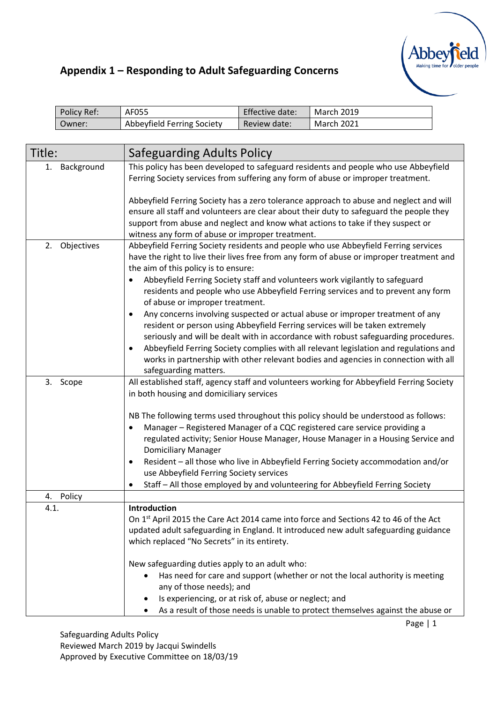

| Policy Ref: | AF055                      | Effective date: | <b>March 2019</b> |
|-------------|----------------------------|-----------------|-------------------|
| Owner:      | Abbeyfield Ferring Society | Review date:    | March 2021        |

| Title:        | <b>Safeguarding Adults Policy</b>                                                                                                                                                                                                                                                                                                                                                                                                                                                                                                                                                                                                                                                                                                                                                                                                                                                                                              |
|---------------|--------------------------------------------------------------------------------------------------------------------------------------------------------------------------------------------------------------------------------------------------------------------------------------------------------------------------------------------------------------------------------------------------------------------------------------------------------------------------------------------------------------------------------------------------------------------------------------------------------------------------------------------------------------------------------------------------------------------------------------------------------------------------------------------------------------------------------------------------------------------------------------------------------------------------------|
| 1. Background | This policy has been developed to safeguard residents and people who use Abbeyfield<br>Ferring Society services from suffering any form of abuse or improper treatment.                                                                                                                                                                                                                                                                                                                                                                                                                                                                                                                                                                                                                                                                                                                                                        |
|               | Abbeyfield Ferring Society has a zero tolerance approach to abuse and neglect and will<br>ensure all staff and volunteers are clear about their duty to safeguard the people they                                                                                                                                                                                                                                                                                                                                                                                                                                                                                                                                                                                                                                                                                                                                              |
|               | support from abuse and neglect and know what actions to take if they suspect or<br>witness any form of abuse or improper treatment.                                                                                                                                                                                                                                                                                                                                                                                                                                                                                                                                                                                                                                                                                                                                                                                            |
| 2. Objectives | Abbeyfield Ferring Society residents and people who use Abbeyfield Ferring services<br>have the right to live their lives free from any form of abuse or improper treatment and<br>the aim of this policy is to ensure:<br>Abbeyfield Ferring Society staff and volunteers work vigilantly to safeguard<br>$\bullet$<br>residents and people who use Abbeyfield Ferring services and to prevent any form<br>of abuse or improper treatment.<br>Any concerns involving suspected or actual abuse or improper treatment of any<br>٠<br>resident or person using Abbeyfield Ferring services will be taken extremely<br>seriously and will be dealt with in accordance with robust safeguarding procedures.<br>Abbeyfield Ferring Society complies with all relevant legislation and regulations and<br>$\bullet$<br>works in partnership with other relevant bodies and agencies in connection with all<br>safeguarding matters. |
| 3. Scope      | All established staff, agency staff and volunteers working for Abbeyfield Ferring Society<br>in both housing and domiciliary services                                                                                                                                                                                                                                                                                                                                                                                                                                                                                                                                                                                                                                                                                                                                                                                          |
|               | NB The following terms used throughout this policy should be understood as follows:<br>Manager - Registered Manager of a CQC registered care service providing a<br>regulated activity; Senior House Manager, House Manager in a Housing Service and<br><b>Domiciliary Manager</b><br>Resident - all those who live in Abbeyfield Ferring Society accommodation and/or<br>$\bullet$<br>use Abbeyfield Ferring Society services<br>Staff - All those employed by and volunteering for Abbeyfield Ferring Society                                                                                                                                                                                                                                                                                                                                                                                                                |
| 4. Policy     |                                                                                                                                                                                                                                                                                                                                                                                                                                                                                                                                                                                                                                                                                                                                                                                                                                                                                                                                |
| 4.1.          | Introduction<br>On 1st April 2015 the Care Act 2014 came into force and Sections 42 to 46 of the Act<br>updated adult safeguarding in England. It introduced new adult safeguarding guidance<br>which replaced "No Secrets" in its entirety.                                                                                                                                                                                                                                                                                                                                                                                                                                                                                                                                                                                                                                                                                   |
|               | New safeguarding duties apply to an adult who:<br>Has need for care and support (whether or not the local authority is meeting<br>any of those needs); and<br>Is experiencing, or at risk of, abuse or neglect; and<br>As a result of those needs is unable to protect themselves against the abuse or                                                                                                                                                                                                                                                                                                                                                                                                                                                                                                                                                                                                                         |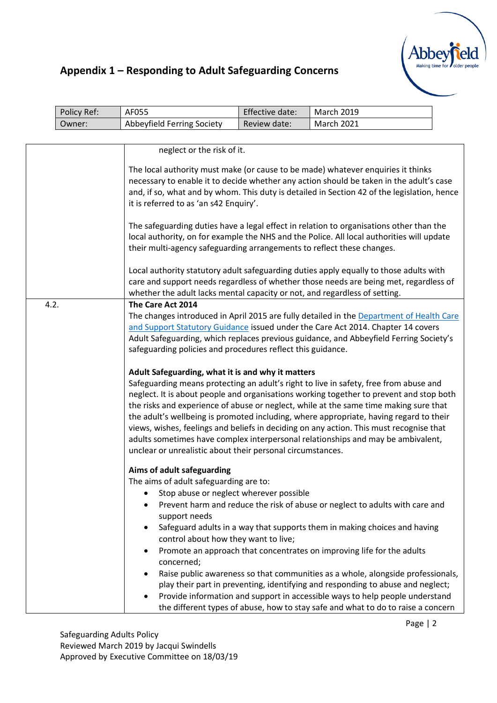

|      | Policy Ref: | AF055                                                                                                                                                                                                                                                                                                                | Effective date: | <b>March 2019</b>                                                                                                                                                                                                                                                                                                                                                                                                                                                                                                                                                             |  |  |  |
|------|-------------|----------------------------------------------------------------------------------------------------------------------------------------------------------------------------------------------------------------------------------------------------------------------------------------------------------------------|-----------------|-------------------------------------------------------------------------------------------------------------------------------------------------------------------------------------------------------------------------------------------------------------------------------------------------------------------------------------------------------------------------------------------------------------------------------------------------------------------------------------------------------------------------------------------------------------------------------|--|--|--|
|      | Owner:      | Abbeyfield Ferring Society                                                                                                                                                                                                                                                                                           | Review date:    | <b>March 2021</b>                                                                                                                                                                                                                                                                                                                                                                                                                                                                                                                                                             |  |  |  |
|      |             |                                                                                                                                                                                                                                                                                                                      |                 |                                                                                                                                                                                                                                                                                                                                                                                                                                                                                                                                                                               |  |  |  |
|      |             | neglect or the risk of it.                                                                                                                                                                                                                                                                                           |                 |                                                                                                                                                                                                                                                                                                                                                                                                                                                                                                                                                                               |  |  |  |
|      |             | The local authority must make (or cause to be made) whatever enquiries it thinks<br>necessary to enable it to decide whether any action should be taken in the adult's case<br>and, if so, what and by whom. This duty is detailed in Section 42 of the legislation, hence<br>it is referred to as 'an s42 Enquiry'. |                 |                                                                                                                                                                                                                                                                                                                                                                                                                                                                                                                                                                               |  |  |  |
|      |             | The safeguarding duties have a legal effect in relation to organisations other than the<br>local authority, on for example the NHS and the Police. All local authorities will update<br>their multi-agency safeguarding arrangements to reflect these changes.                                                       |                 |                                                                                                                                                                                                                                                                                                                                                                                                                                                                                                                                                                               |  |  |  |
|      |             | whether the adult lacks mental capacity or not, and regardless of setting.                                                                                                                                                                                                                                           |                 | Local authority statutory adult safeguarding duties apply equally to those adults with<br>care and support needs regardless of whether those needs are being met, regardless of                                                                                                                                                                                                                                                                                                                                                                                               |  |  |  |
| 4.2. |             | The Care Act 2014<br>safeguarding policies and procedures reflect this guidance.                                                                                                                                                                                                                                     |                 | The changes introduced in April 2015 are fully detailed in the Department of Health Care<br>and Support Statutory Guidance issued under the Care Act 2014. Chapter 14 covers<br>Adult Safeguarding, which replaces previous guidance, and Abbeyfield Ferring Society's                                                                                                                                                                                                                                                                                                        |  |  |  |
|      |             | Adult Safeguarding, what it is and why it matters<br>unclear or unrealistic about their personal circumstances.                                                                                                                                                                                                      |                 | Safeguarding means protecting an adult's right to live in safety, free from abuse and<br>neglect. It is about people and organisations working together to prevent and stop both<br>the risks and experience of abuse or neglect, while at the same time making sure that<br>the adult's wellbeing is promoted including, where appropriate, having regard to their<br>views, wishes, feelings and beliefs in deciding on any action. This must recognise that<br>adults sometimes have complex interpersonal relationships and may be ambivalent,                            |  |  |  |
|      |             | Aims of adult safeguarding<br>The aims of adult safeguarding are to:<br>Stop abuse or neglect wherever possible<br>٠<br>support needs<br>٠<br>control about how they want to live;<br>$\bullet$<br>concerned;<br>$\bullet$<br>٠                                                                                      |                 | Prevent harm and reduce the risk of abuse or neglect to adults with care and<br>Safeguard adults in a way that supports them in making choices and having<br>Promote an approach that concentrates on improving life for the adults<br>Raise public awareness so that communities as a whole, alongside professionals,<br>play their part in preventing, identifying and responding to abuse and neglect;<br>Provide information and support in accessible ways to help people understand<br>the different types of abuse, how to stay safe and what to do to raise a concern |  |  |  |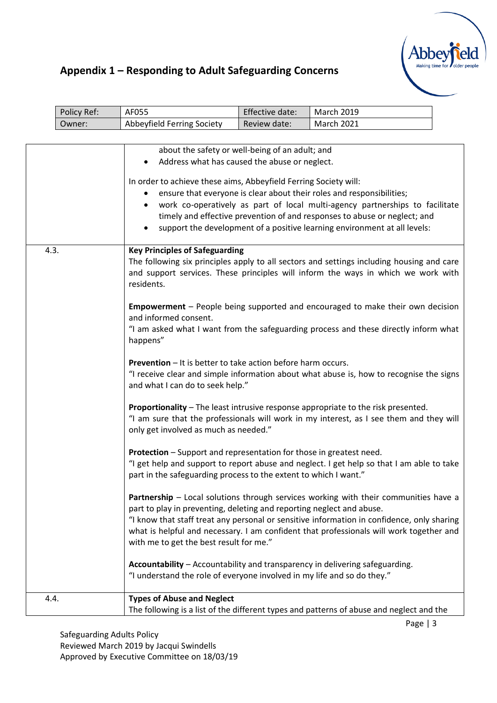

|      | Policy Ref: | AF055                                                                                                                                                                                              | Effective date: | <b>March 2019</b>                                                                                                                                                                                                                                                                                               |  |  |
|------|-------------|----------------------------------------------------------------------------------------------------------------------------------------------------------------------------------------------------|-----------------|-----------------------------------------------------------------------------------------------------------------------------------------------------------------------------------------------------------------------------------------------------------------------------------------------------------------|--|--|
|      | Owner:      | Abbeyfield Ferring Society                                                                                                                                                                         | Review date:    | <b>March 2021</b>                                                                                                                                                                                                                                                                                               |  |  |
|      |             |                                                                                                                                                                                                    |                 |                                                                                                                                                                                                                                                                                                                 |  |  |
|      |             | about the safety or well-being of an adult; and<br>Address what has caused the abuse or neglect.<br>$\bullet$<br>In order to achieve these aims, Abbeyfield Ferring Society will:<br>$\bullet$     |                 | ensure that everyone is clear about their roles and responsibilities;<br>work co-operatively as part of local multi-agency partnerships to facilitate<br>timely and effective prevention of and responses to abuse or neglect; and<br>support the development of a positive learning environment at all levels: |  |  |
| 4.3. |             | <b>Key Principles of Safeguarding</b>                                                                                                                                                              |                 |                                                                                                                                                                                                                                                                                                                 |  |  |
|      |             | residents.                                                                                                                                                                                         |                 | The following six principles apply to all sectors and settings including housing and care<br>and support services. These principles will inform the ways in which we work with                                                                                                                                  |  |  |
|      |             | Empowerment - People being supported and encouraged to make their own decision<br>and informed consent.                                                                                            |                 |                                                                                                                                                                                                                                                                                                                 |  |  |
|      |             | "I am asked what I want from the safeguarding process and these directly inform what<br>happens"                                                                                                   |                 |                                                                                                                                                                                                                                                                                                                 |  |  |
|      |             | <b>Prevention</b> - It is better to take action before harm occurs.<br>"I receive clear and simple information about what abuse is, how to recognise the signs<br>and what I can do to seek help." |                 |                                                                                                                                                                                                                                                                                                                 |  |  |
|      |             | only get involved as much as needed."                                                                                                                                                              |                 | Proportionality - The least intrusive response appropriate to the risk presented.<br>"I am sure that the professionals will work in my interest, as I see them and they will                                                                                                                                    |  |  |
|      |             | Protection - Support and representation for those in greatest need.<br>part in the safeguarding process to the extent to which I want."                                                            |                 | "I get help and support to report abuse and neglect. I get help so that I am able to take                                                                                                                                                                                                                       |  |  |
|      |             | part to play in preventing, deleting and reporting neglect and abuse.<br>with me to get the best result for me."                                                                                   |                 | Partnership - Local solutions through services working with their communities have a<br>"I know that staff treat any personal or sensitive information in confidence, only sharing<br>what is helpful and necessary. I am confident that professionals will work together and                                   |  |  |
|      |             | Accountability - Accountability and transparency in delivering safeguarding.<br>"I understand the role of everyone involved in my life and so do they."                                            |                 |                                                                                                                                                                                                                                                                                                                 |  |  |
| 4.4. |             | <b>Types of Abuse and Neglect</b>                                                                                                                                                                  |                 | The following is a list of the different types and patterns of abuse and neglect and the                                                                                                                                                                                                                        |  |  |

Page | 3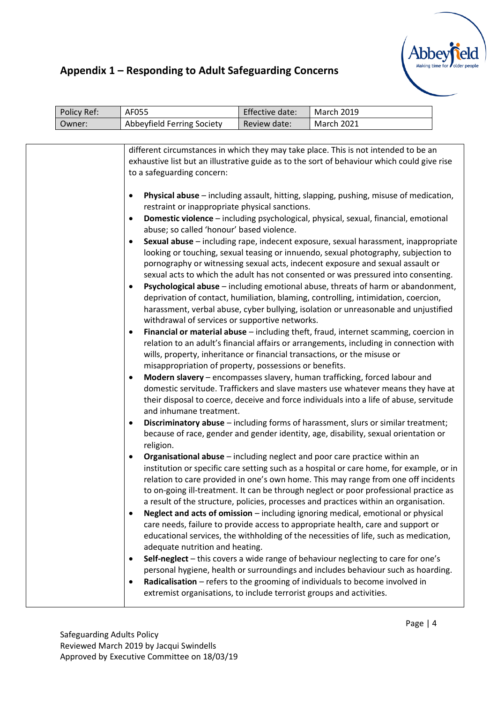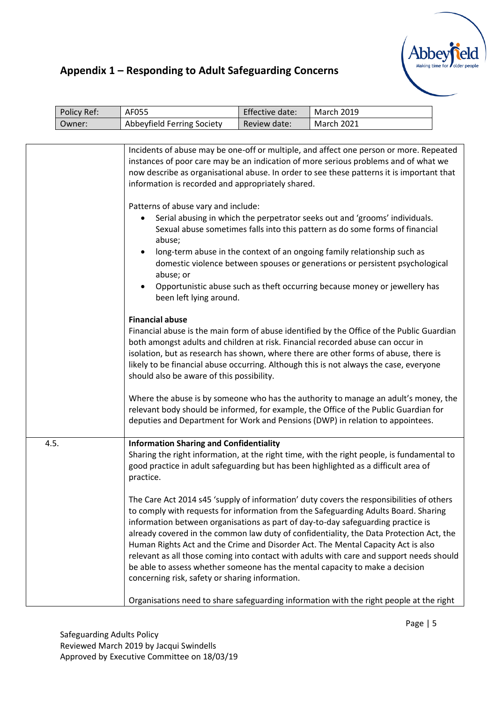

|      | Policy Ref: | AF055                                                                                                                | Effective date: | <b>March 2019</b>                                                                                                                                                                                                                                                                                                                                                                                                                                                                                                                                                                                                              |  |
|------|-------------|----------------------------------------------------------------------------------------------------------------------|-----------------|--------------------------------------------------------------------------------------------------------------------------------------------------------------------------------------------------------------------------------------------------------------------------------------------------------------------------------------------------------------------------------------------------------------------------------------------------------------------------------------------------------------------------------------------------------------------------------------------------------------------------------|--|
|      | Owner:      | Abbeyfield Ferring Society                                                                                           | Review date:    | <b>March 2021</b>                                                                                                                                                                                                                                                                                                                                                                                                                                                                                                                                                                                                              |  |
|      |             |                                                                                                                      |                 |                                                                                                                                                                                                                                                                                                                                                                                                                                                                                                                                                                                                                                |  |
|      |             | information is recorded and appropriately shared.                                                                    |                 | Incidents of abuse may be one-off or multiple, and affect one person or more. Repeated<br>instances of poor care may be an indication of more serious problems and of what we<br>now describe as organisational abuse. In order to see these patterns it is important that                                                                                                                                                                                                                                                                                                                                                     |  |
|      |             | Patterns of abuse vary and include:<br>٠<br>abuse;<br>$\bullet$<br>abuse; or<br>$\bullet$<br>been left lying around. |                 | Serial abusing in which the perpetrator seeks out and 'grooms' individuals.<br>Sexual abuse sometimes falls into this pattern as do some forms of financial<br>long-term abuse in the context of an ongoing family relationship such as<br>domestic violence between spouses or generations or persistent psychological<br>Opportunistic abuse such as theft occurring because money or jewellery has                                                                                                                                                                                                                          |  |
|      |             | <b>Financial abuse</b><br>should also be aware of this possibility.                                                  |                 | Financial abuse is the main form of abuse identified by the Office of the Public Guardian<br>both amongst adults and children at risk. Financial recorded abuse can occur in<br>isolation, but as research has shown, where there are other forms of abuse, there is<br>likely to be financial abuse occurring. Although this is not always the case, everyone                                                                                                                                                                                                                                                                 |  |
|      |             |                                                                                                                      |                 | Where the abuse is by someone who has the authority to manage an adult's money, the<br>relevant body should be informed, for example, the Office of the Public Guardian for<br>deputies and Department for Work and Pensions (DWP) in relation to appointees.                                                                                                                                                                                                                                                                                                                                                                  |  |
| 4.5. |             | <b>Information Sharing and Confidentiality</b><br>practice.                                                          |                 | Sharing the right information, at the right time, with the right people, is fundamental to<br>good practice in adult safeguarding but has been highlighted as a difficult area of                                                                                                                                                                                                                                                                                                                                                                                                                                              |  |
|      |             | concerning risk, safety or sharing information.                                                                      |                 | The Care Act 2014 s45 'supply of information' duty covers the responsibilities of others<br>to comply with requests for information from the Safeguarding Adults Board. Sharing<br>information between organisations as part of day-to-day safeguarding practice is<br>already covered in the common law duty of confidentiality, the Data Protection Act, the<br>Human Rights Act and the Crime and Disorder Act. The Mental Capacity Act is also<br>relevant as all those coming into contact with adults with care and support needs should<br>be able to assess whether someone has the mental capacity to make a decision |  |
|      |             |                                                                                                                      |                 | Organisations need to share safeguarding information with the right people at the right                                                                                                                                                                                                                                                                                                                                                                                                                                                                                                                                        |  |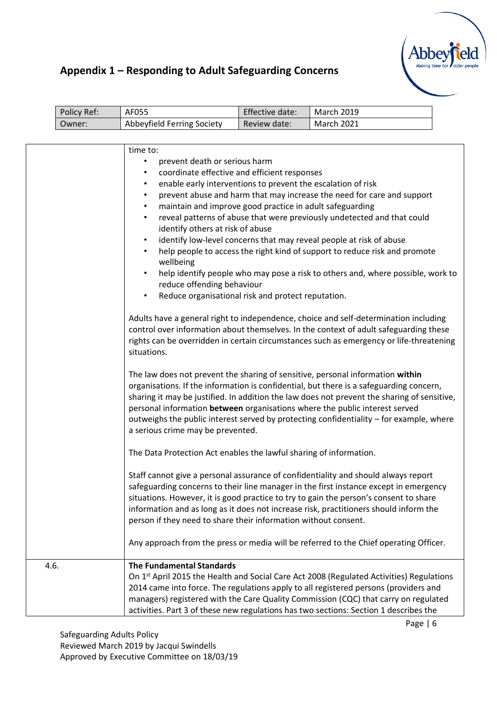

| Policy Ref: | AF055                      | Effective date: | March 2019 |
|-------------|----------------------------|-----------------|------------|
| Owner:      | Abbeyfield Ferring Society | Review date:    | March 2021 |

|      | time to:<br>prevent death or serious harm<br>$\bullet$<br>coordinate effective and efficient responses<br>٠<br>enable early interventions to prevent the escalation of risk<br>$\bullet$<br>prevent abuse and harm that may increase the need for care and support<br>$\bullet$<br>maintain and improve good practice in adult safeguarding<br>$\bullet$<br>reveal patterns of abuse that were previously undetected and that could<br>$\bullet$<br>identify others at risk of abuse<br>identify low-level concerns that may reveal people at risk of abuse<br>$\bullet$<br>help people to access the right kind of support to reduce risk and promote<br>$\bullet$<br>wellbeing<br>help identify people who may pose a risk to others and, where possible, work to<br>$\bullet$<br>reduce offending behaviour<br>Reduce organisational risk and protect reputation.<br>$\bullet$<br>Adults have a general right to independence, choice and self-determination including<br>control over information about themselves. In the context of adult safeguarding these<br>rights can be overridden in certain circumstances such as emergency or life-threatening<br>situations.<br>The law does not prevent the sharing of sensitive, personal information within<br>organisations. If the information is confidential, but there is a safeguarding concern,<br>sharing it may be justified. In addition the law does not prevent the sharing of sensitive,<br>personal information between organisations where the public interest served<br>outweighs the public interest served by protecting confidentiality - for example, where<br>a serious crime may be prevented.<br>The Data Protection Act enables the lawful sharing of information.<br>Staff cannot give a personal assurance of confidentiality and should always report<br>safeguarding concerns to their line manager in the first instance except in emergency<br>situations. However, it is good practice to try to gain the person's consent to share<br>information and as long as it does not increase risk, practitioners should inform the<br>person if they need to share their information without consent. |
|------|-----------------------------------------------------------------------------------------------------------------------------------------------------------------------------------------------------------------------------------------------------------------------------------------------------------------------------------------------------------------------------------------------------------------------------------------------------------------------------------------------------------------------------------------------------------------------------------------------------------------------------------------------------------------------------------------------------------------------------------------------------------------------------------------------------------------------------------------------------------------------------------------------------------------------------------------------------------------------------------------------------------------------------------------------------------------------------------------------------------------------------------------------------------------------------------------------------------------------------------------------------------------------------------------------------------------------------------------------------------------------------------------------------------------------------------------------------------------------------------------------------------------------------------------------------------------------------------------------------------------------------------------------------------------------------------------------------------------------------------------------------------------------------------------------------------------------------------------------------------------------------------------------------------------------------------------------------------------------------------------------------------------------------------------------------------------------------------------------------------------------------------------------------------------------------------|
|      | Any approach from the press or media will be referred to the Chief operating Officer.                                                                                                                                                                                                                                                                                                                                                                                                                                                                                                                                                                                                                                                                                                                                                                                                                                                                                                                                                                                                                                                                                                                                                                                                                                                                                                                                                                                                                                                                                                                                                                                                                                                                                                                                                                                                                                                                                                                                                                                                                                                                                             |
|      | <b>The Fundamental Standards</b>                                                                                                                                                                                                                                                                                                                                                                                                                                                                                                                                                                                                                                                                                                                                                                                                                                                                                                                                                                                                                                                                                                                                                                                                                                                                                                                                                                                                                                                                                                                                                                                                                                                                                                                                                                                                                                                                                                                                                                                                                                                                                                                                                  |
| 4.6. | On 1st April 2015 the Health and Social Care Act 2008 (Regulated Activities) Regulations<br>2014 came into force. The regulations apply to all registered persons (providers and<br>managers) registered with the Care Quality Commission (CQC) that carry on regulated<br>activities. Part 3 of these new regulations has two sections: Section 1 describes the                                                                                                                                                                                                                                                                                                                                                                                                                                                                                                                                                                                                                                                                                                                                                                                                                                                                                                                                                                                                                                                                                                                                                                                                                                                                                                                                                                                                                                                                                                                                                                                                                                                                                                                                                                                                                  |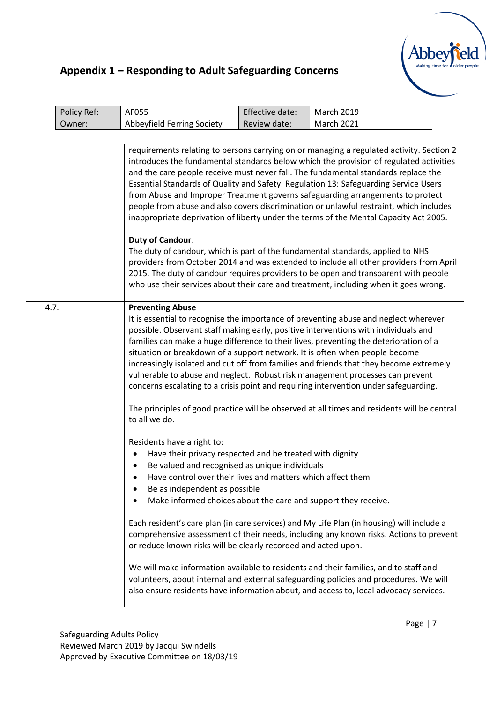

| Policy Ref: | AF055                                                                                                                                                                                                                                                                                                                                                                                                                    | Effective date: | <b>March 2019</b>                                                                                                                                                                                                                                                                                                                                                                                                                                                                                                                                                                                                                                                                                                                                                                                                                                                                                                                                                                                                                                                                                                                                                                      |  |
|-------------|--------------------------------------------------------------------------------------------------------------------------------------------------------------------------------------------------------------------------------------------------------------------------------------------------------------------------------------------------------------------------------------------------------------------------|-----------------|----------------------------------------------------------------------------------------------------------------------------------------------------------------------------------------------------------------------------------------------------------------------------------------------------------------------------------------------------------------------------------------------------------------------------------------------------------------------------------------------------------------------------------------------------------------------------------------------------------------------------------------------------------------------------------------------------------------------------------------------------------------------------------------------------------------------------------------------------------------------------------------------------------------------------------------------------------------------------------------------------------------------------------------------------------------------------------------------------------------------------------------------------------------------------------------|--|
| Owner:      | Abbeyfield Ferring Society                                                                                                                                                                                                                                                                                                                                                                                               | Review date:    | <b>March 2021</b>                                                                                                                                                                                                                                                                                                                                                                                                                                                                                                                                                                                                                                                                                                                                                                                                                                                                                                                                                                                                                                                                                                                                                                      |  |
|             |                                                                                                                                                                                                                                                                                                                                                                                                                          |                 |                                                                                                                                                                                                                                                                                                                                                                                                                                                                                                                                                                                                                                                                                                                                                                                                                                                                                                                                                                                                                                                                                                                                                                                        |  |
|             | Duty of Candour.                                                                                                                                                                                                                                                                                                                                                                                                         |                 | requirements relating to persons carrying on or managing a regulated activity. Section 2<br>introduces the fundamental standards below which the provision of regulated activities<br>and the care people receive must never fall. The fundamental standards replace the<br>Essential Standards of Quality and Safety. Regulation 13: Safeguarding Service Users<br>from Abuse and Improper Treatment governs safeguarding arrangements to protect<br>people from abuse and also covers discrimination or unlawful restraint, which includes<br>inappropriate deprivation of liberty under the terms of the Mental Capacity Act 2005.<br>The duty of candour, which is part of the fundamental standards, applied to NHS<br>providers from October 2014 and was extended to include all other providers from April<br>2015. The duty of candour requires providers to be open and transparent with people<br>who use their services about their care and treatment, including when it goes wrong.                                                                                                                                                                                      |  |
| 4.7.        | <b>Preventing Abuse</b><br>to all we do.<br>Residents have a right to:<br>Have their privacy respected and be treated with dignity<br>Be valued and recognised as unique individuals<br>Have control over their lives and matters which affect them<br>Be as independent as possible<br>Make informed choices about the care and support they receive.<br>or reduce known risks will be clearly recorded and acted upon. |                 | It is essential to recognise the importance of preventing abuse and neglect wherever<br>possible. Observant staff making early, positive interventions with individuals and<br>families can make a huge difference to their lives, preventing the deterioration of a<br>situation or breakdown of a support network. It is often when people become<br>increasingly isolated and cut off from families and friends that they become extremely<br>vulnerable to abuse and neglect. Robust risk management processes can prevent<br>concerns escalating to a crisis point and requiring intervention under safeguarding.<br>The principles of good practice will be observed at all times and residents will be central<br>Each resident's care plan (in care services) and My Life Plan (in housing) will include a<br>comprehensive assessment of their needs, including any known risks. Actions to prevent<br>We will make information available to residents and their families, and to staff and<br>volunteers, about internal and external safeguarding policies and procedures. We will<br>also ensure residents have information about, and access to, local advocacy services. |  |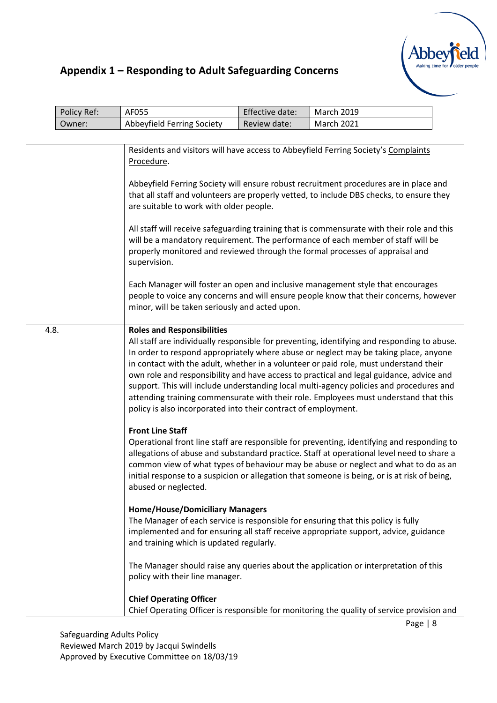

|                                                                                                                                                                                                                                                                 | Policy Ref: | AF055                                                                                                                                                                                                                                                                                                                                                                                                                             | Effective date: | <b>March 2019</b>                                                                                                                                                                                                                                                                                                                                                                                                                                                                                                                                          |  |  |  |
|-----------------------------------------------------------------------------------------------------------------------------------------------------------------------------------------------------------------------------------------------------------------|-------------|-----------------------------------------------------------------------------------------------------------------------------------------------------------------------------------------------------------------------------------------------------------------------------------------------------------------------------------------------------------------------------------------------------------------------------------|-----------------|------------------------------------------------------------------------------------------------------------------------------------------------------------------------------------------------------------------------------------------------------------------------------------------------------------------------------------------------------------------------------------------------------------------------------------------------------------------------------------------------------------------------------------------------------------|--|--|--|
|                                                                                                                                                                                                                                                                 | Owner:      | Abbeyfield Ferring Society                                                                                                                                                                                                                                                                                                                                                                                                        | Review date:    | <b>March 2021</b>                                                                                                                                                                                                                                                                                                                                                                                                                                                                                                                                          |  |  |  |
|                                                                                                                                                                                                                                                                 |             |                                                                                                                                                                                                                                                                                                                                                                                                                                   |                 |                                                                                                                                                                                                                                                                                                                                                                                                                                                                                                                                                            |  |  |  |
|                                                                                                                                                                                                                                                                 |             | Residents and visitors will have access to Abbeyfield Ferring Society's Complaints<br>Procedure.<br>Abbeyfield Ferring Society will ensure robust recruitment procedures are in place and<br>that all staff and volunteers are properly vetted, to include DBS checks, to ensure they<br>are suitable to work with older people.                                                                                                  |                 |                                                                                                                                                                                                                                                                                                                                                                                                                                                                                                                                                            |  |  |  |
|                                                                                                                                                                                                                                                                 |             | All staff will receive safeguarding training that is commensurate with their role and this<br>will be a mandatory requirement. The performance of each member of staff will be<br>properly monitored and reviewed through the formal processes of appraisal and<br>supervision.                                                                                                                                                   |                 |                                                                                                                                                                                                                                                                                                                                                                                                                                                                                                                                                            |  |  |  |
|                                                                                                                                                                                                                                                                 |             | minor, will be taken seriously and acted upon.                                                                                                                                                                                                                                                                                                                                                                                    |                 | Each Manager will foster an open and inclusive management style that encourages<br>people to voice any concerns and will ensure people know that their concerns, however                                                                                                                                                                                                                                                                                                                                                                                   |  |  |  |
| 4.8.                                                                                                                                                                                                                                                            |             | <b>Roles and Responsibilities</b><br>policy is also incorporated into their contract of employment.                                                                                                                                                                                                                                                                                                                               |                 | All staff are individually responsible for preventing, identifying and responding to abuse.<br>In order to respond appropriately where abuse or neglect may be taking place, anyone<br>in contact with the adult, whether in a volunteer or paid role, must understand their<br>own role and responsibility and have access to practical and legal guidance, advice and<br>support. This will include understanding local multi-agency policies and procedures and<br>attending training commensurate with their role. Employees must understand that this |  |  |  |
|                                                                                                                                                                                                                                                                 |             | <b>Front Line Staff</b><br>Operational front line staff are responsible for preventing, identifying and responding to<br>allegations of abuse and substandard practice. Staff at operational level need to share a<br>common view of what types of behaviour may be abuse or neglect and what to do as an<br>initial response to a suspicion or allegation that someone is being, or is at risk of being,<br>abused or neglected. |                 |                                                                                                                                                                                                                                                                                                                                                                                                                                                                                                                                                            |  |  |  |
| <b>Home/House/Domiciliary Managers</b><br>The Manager of each service is responsible for ensuring that this policy is fully<br>implemented and for ensuring all staff receive appropriate support, advice, guidance<br>and training which is updated regularly. |             |                                                                                                                                                                                                                                                                                                                                                                                                                                   |                 |                                                                                                                                                                                                                                                                                                                                                                                                                                                                                                                                                            |  |  |  |
|                                                                                                                                                                                                                                                                 |             | policy with their line manager.                                                                                                                                                                                                                                                                                                                                                                                                   |                 | The Manager should raise any queries about the application or interpretation of this                                                                                                                                                                                                                                                                                                                                                                                                                                                                       |  |  |  |
|                                                                                                                                                                                                                                                                 |             | <b>Chief Operating Officer</b>                                                                                                                                                                                                                                                                                                                                                                                                    |                 | Chief Operating Officer is responsible for monitoring the quality of service provision and                                                                                                                                                                                                                                                                                                                                                                                                                                                                 |  |  |  |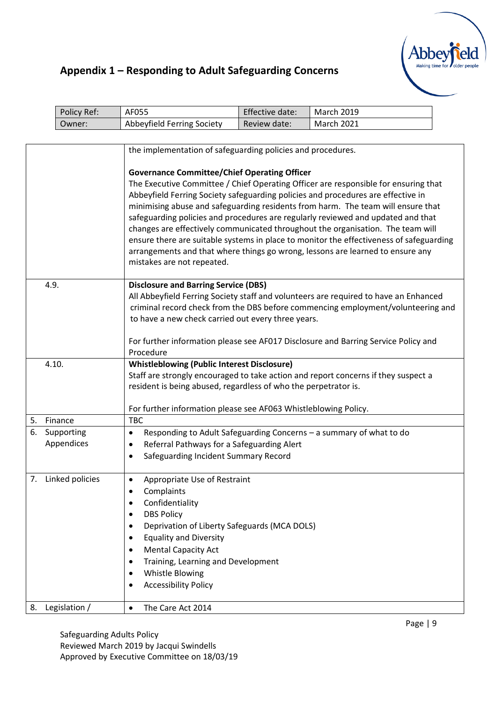

|            |       | Policy Ref:      | AF055                                                                                                                                                                                                                                                                                                                                                  | Effective date: | <b>March 2019</b>                                                                                                                                                                                                                                                                                                                                                                                                                                                                                                                                                                                               |  |
|------------|-------|------------------|--------------------------------------------------------------------------------------------------------------------------------------------------------------------------------------------------------------------------------------------------------------------------------------------------------------------------------------------------------|-----------------|-----------------------------------------------------------------------------------------------------------------------------------------------------------------------------------------------------------------------------------------------------------------------------------------------------------------------------------------------------------------------------------------------------------------------------------------------------------------------------------------------------------------------------------------------------------------------------------------------------------------|--|
|            |       | Owner:           | Abbeyfield Ferring Society                                                                                                                                                                                                                                                                                                                             | Review date:    | <b>March 2021</b>                                                                                                                                                                                                                                                                                                                                                                                                                                                                                                                                                                                               |  |
|            |       |                  |                                                                                                                                                                                                                                                                                                                                                        |                 |                                                                                                                                                                                                                                                                                                                                                                                                                                                                                                                                                                                                                 |  |
|            |       |                  | the implementation of safeguarding policies and procedures.<br><b>Governance Committee/Chief Operating Officer</b><br>mistakes are not repeated.                                                                                                                                                                                                       |                 | The Executive Committee / Chief Operating Officer are responsible for ensuring that<br>Abbeyfield Ferring Society safeguarding policies and procedures are effective in<br>minimising abuse and safeguarding residents from harm. The team will ensure that<br>safeguarding policies and procedures are regularly reviewed and updated and that<br>changes are effectively communicated throughout the organisation. The team will<br>ensure there are suitable systems in place to monitor the effectiveness of safeguarding<br>arrangements and that where things go wrong, lessons are learned to ensure any |  |
|            | 4.9.  |                  | <b>Disclosure and Barring Service (DBS)</b><br>to have a new check carried out every three years.<br>Procedure                                                                                                                                                                                                                                         |                 | All Abbeyfield Ferring Society staff and volunteers are required to have an Enhanced<br>criminal record check from the DBS before commencing employment/volunteering and<br>For further information please see AF017 Disclosure and Barring Service Policy and                                                                                                                                                                                                                                                                                                                                                  |  |
|            | 4.10. |                  | <b>Whistleblowing (Public Interest Disclosure)</b><br>resident is being abused, regardless of who the perpetrator is.<br>For further information please see AF063 Whistleblowing Policy.                                                                                                                                                               |                 | Staff are strongly encouraged to take action and report concerns if they suspect a                                                                                                                                                                                                                                                                                                                                                                                                                                                                                                                              |  |
|            |       | 5. Finance       | <b>TBC</b>                                                                                                                                                                                                                                                                                                                                             |                 |                                                                                                                                                                                                                                                                                                                                                                                                                                                                                                                                                                                                                 |  |
| 6.         |       | Supporting       | $\bullet$                                                                                                                                                                                                                                                                                                                                              |                 | Responding to Adult Safeguarding Concerns - a summary of what to do                                                                                                                                                                                                                                                                                                                                                                                                                                                                                                                                             |  |
|            |       | Appendices       | Referral Pathways for a Safeguarding Alert<br>$\bullet$                                                                                                                                                                                                                                                                                                |                 |                                                                                                                                                                                                                                                                                                                                                                                                                                                                                                                                                                                                                 |  |
|            |       |                  | Safeguarding Incident Summary Record<br>$\bullet$                                                                                                                                                                                                                                                                                                      |                 |                                                                                                                                                                                                                                                                                                                                                                                                                                                                                                                                                                                                                 |  |
| $\prime$ . |       | Linked policies  | Appropriate Use of Restraint<br>$\bullet$<br>Complaints<br>٠<br>Confidentiality<br><b>DBS Policy</b><br>٠<br>Deprivation of Liberty Safeguards (MCA DOLS)<br>٠<br><b>Equality and Diversity</b><br>٠<br><b>Mental Capacity Act</b><br>٠<br>Training, Learning and Development<br>٠<br>Whistle Blowing<br>٠<br><b>Accessibility Policy</b><br>$\bullet$ |                 |                                                                                                                                                                                                                                                                                                                                                                                                                                                                                                                                                                                                                 |  |
|            |       | 8. Legislation / | The Care Act 2014<br>$\bullet$                                                                                                                                                                                                                                                                                                                         |                 |                                                                                                                                                                                                                                                                                                                                                                                                                                                                                                                                                                                                                 |  |

Safeguarding Adults Policy Reviewed March 2019 by Jacqui Swindells Approved by Executive Committee on 18/03/19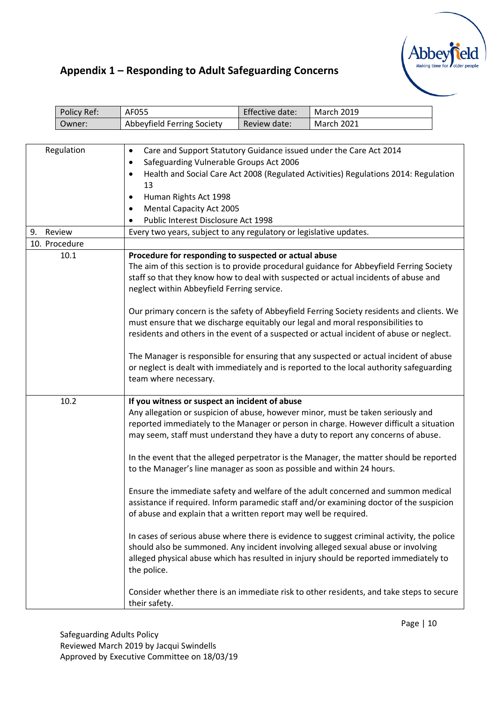

|    |                                                                                                                                                                                                                                                                                                                                                                                                    | Policy Ref: | AF055                                                                                                                                                                                                       | Effective date: | <b>March 2019</b>                                                                                                                                                                                                                                                                                                                                                                                                                                                                                                                                                                                                                                                                                                                                                                                                                                                                                                  |  |
|----|----------------------------------------------------------------------------------------------------------------------------------------------------------------------------------------------------------------------------------------------------------------------------------------------------------------------------------------------------------------------------------------------------|-------------|-------------------------------------------------------------------------------------------------------------------------------------------------------------------------------------------------------------|-----------------|--------------------------------------------------------------------------------------------------------------------------------------------------------------------------------------------------------------------------------------------------------------------------------------------------------------------------------------------------------------------------------------------------------------------------------------------------------------------------------------------------------------------------------------------------------------------------------------------------------------------------------------------------------------------------------------------------------------------------------------------------------------------------------------------------------------------------------------------------------------------------------------------------------------------|--|
|    |                                                                                                                                                                                                                                                                                                                                                                                                    | Owner:      | Abbeyfield Ferring Society                                                                                                                                                                                  | Review date:    | <b>March 2021</b>                                                                                                                                                                                                                                                                                                                                                                                                                                                                                                                                                                                                                                                                                                                                                                                                                                                                                                  |  |
|    |                                                                                                                                                                                                                                                                                                                                                                                                    |             |                                                                                                                                                                                                             |                 |                                                                                                                                                                                                                                                                                                                                                                                                                                                                                                                                                                                                                                                                                                                                                                                                                                                                                                                    |  |
|    | Regulation<br>Care and Support Statutory Guidance issued under the Care Act 2014<br>$\bullet$<br>Safeguarding Vulnerable Groups Act 2006<br>$\bullet$<br>Health and Social Care Act 2008 (Regulated Activities) Regulations 2014: Regulation<br>$\bullet$<br>13<br>Human Rights Act 1998<br>$\bullet$<br>Mental Capacity Act 2005<br>$\bullet$<br>Public Interest Disclosure Act 1998<br>$\bullet$ |             |                                                                                                                                                                                                             |                 |                                                                                                                                                                                                                                                                                                                                                                                                                                                                                                                                                                                                                                                                                                                                                                                                                                                                                                                    |  |
| 9. | Review                                                                                                                                                                                                                                                                                                                                                                                             |             | Every two years, subject to any regulatory or legislative updates.                                                                                                                                          |                 |                                                                                                                                                                                                                                                                                                                                                                                                                                                                                                                                                                                                                                                                                                                                                                                                                                                                                                                    |  |
|    | 10. Procedure                                                                                                                                                                                                                                                                                                                                                                                      |             |                                                                                                                                                                                                             |                 |                                                                                                                                                                                                                                                                                                                                                                                                                                                                                                                                                                                                                                                                                                                                                                                                                                                                                                                    |  |
|    | 10.1                                                                                                                                                                                                                                                                                                                                                                                               |             | Procedure for responding to suspected or actual abuse<br>neglect within Abbeyfield Ferring service.<br>team where necessary.                                                                                |                 | The aim of this section is to provide procedural guidance for Abbeyfield Ferring Society<br>staff so that they know how to deal with suspected or actual incidents of abuse and<br>Our primary concern is the safety of Abbeyfield Ferring Society residents and clients. We<br>must ensure that we discharge equitably our legal and moral responsibilities to<br>residents and others in the event of a suspected or actual incident of abuse or neglect.<br>The Manager is responsible for ensuring that any suspected or actual incident of abuse<br>or neglect is dealt with immediately and is reported to the local authority safeguarding                                                                                                                                                                                                                                                                  |  |
|    | 10.2                                                                                                                                                                                                                                                                                                                                                                                               |             | If you witness or suspect an incident of abuse<br>to the Manager's line manager as soon as possible and within 24 hours.<br>of abuse and explain that a written report may well be required.<br>the police. |                 | Any allegation or suspicion of abuse, however minor, must be taken seriously and<br>reported immediately to the Manager or person in charge. However difficult a situation<br>may seem, staff must understand they have a duty to report any concerns of abuse.<br>In the event that the alleged perpetrator is the Manager, the matter should be reported<br>Ensure the immediate safety and welfare of the adult concerned and summon medical<br>assistance if required. Inform paramedic staff and/or examining doctor of the suspicion<br>In cases of serious abuse where there is evidence to suggest criminal activity, the police<br>should also be summoned. Any incident involving alleged sexual abuse or involving<br>alleged physical abuse which has resulted in injury should be reported immediately to<br>Consider whether there is an immediate risk to other residents, and take steps to secure |  |
|    |                                                                                                                                                                                                                                                                                                                                                                                                    |             | their safety.                                                                                                                                                                                               |                 |                                                                                                                                                                                                                                                                                                                                                                                                                                                                                                                                                                                                                                                                                                                                                                                                                                                                                                                    |  |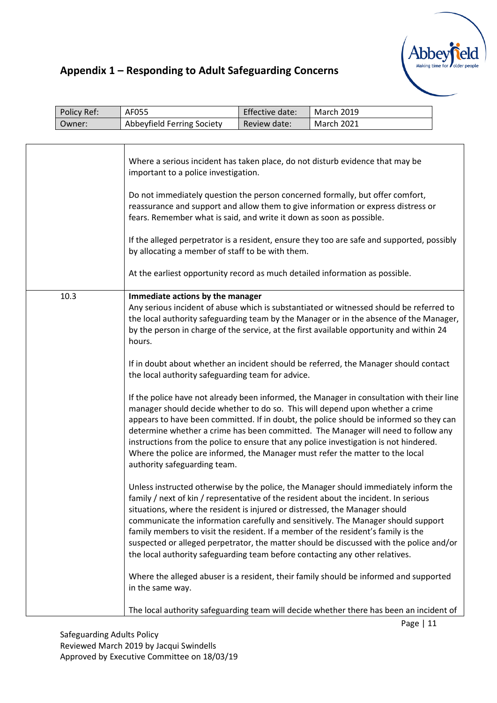

| Policy Ref: | AF055                                                                                                                                                                                                                                            | Effective date: | <b>March 2019</b>                                                                                                                                                                                                                                                                                                                                                                                                                                                                                                                   |  |
|-------------|--------------------------------------------------------------------------------------------------------------------------------------------------------------------------------------------------------------------------------------------------|-----------------|-------------------------------------------------------------------------------------------------------------------------------------------------------------------------------------------------------------------------------------------------------------------------------------------------------------------------------------------------------------------------------------------------------------------------------------------------------------------------------------------------------------------------------------|--|
| Owner:      | Abbeyfield Ferring Society                                                                                                                                                                                                                       | Review date:    | <b>March 2021</b>                                                                                                                                                                                                                                                                                                                                                                                                                                                                                                                   |  |
|             |                                                                                                                                                                                                                                                  |                 |                                                                                                                                                                                                                                                                                                                                                                                                                                                                                                                                     |  |
|             | important to a police investigation.<br>fears. Remember what is said, and write it down as soon as possible.<br>by allocating a member of staff to be with them.<br>At the earliest opportunity record as much detailed information as possible. |                 | Where a serious incident has taken place, do not disturb evidence that may be<br>Do not immediately question the person concerned formally, but offer comfort,<br>reassurance and support and allow them to give information or express distress or<br>If the alleged perpetrator is a resident, ensure they too are safe and supported, possibly                                                                                                                                                                                   |  |
| 10.3        | Immediate actions by the manager                                                                                                                                                                                                                 |                 |                                                                                                                                                                                                                                                                                                                                                                                                                                                                                                                                     |  |
|             | hours.                                                                                                                                                                                                                                           |                 | Any serious incident of abuse which is substantiated or witnessed should be referred to<br>the local authority safeguarding team by the Manager or in the absence of the Manager,<br>by the person in charge of the service, at the first available opportunity and within 24                                                                                                                                                                                                                                                       |  |
|             | If in doubt about whether an incident should be referred, the Manager should contact<br>the local authority safeguarding team for advice.                                                                                                        |                 |                                                                                                                                                                                                                                                                                                                                                                                                                                                                                                                                     |  |
|             | authority safeguarding team.                                                                                                                                                                                                                     |                 | If the police have not already been informed, the Manager in consultation with their line<br>manager should decide whether to do so. This will depend upon whether a crime<br>appears to have been committed. If in doubt, the police should be informed so they can<br>determine whether a crime has been committed. The Manager will need to follow any<br>instructions from the police to ensure that any police investigation is not hindered.<br>Where the police are informed, the Manager must refer the matter to the local |  |
|             | situations, where the resident is injured or distressed, the Manager should<br>the local authority safeguarding team before contacting any other relatives.                                                                                      |                 | Unless instructed otherwise by the police, the Manager should immediately inform the<br>family / next of kin / representative of the resident about the incident. In serious<br>communicate the information carefully and sensitively. The Manager should support<br>family members to visit the resident. If a member of the resident's family is the<br>suspected or alleged perpetrator, the matter should be discussed with the police and/or                                                                                   |  |
|             | in the same way.                                                                                                                                                                                                                                 |                 | Where the alleged abuser is a resident, their family should be informed and supported                                                                                                                                                                                                                                                                                                                                                                                                                                               |  |
|             |                                                                                                                                                                                                                                                  |                 | The local authority safeguarding team will decide whether there has been an incident of                                                                                                                                                                                                                                                                                                                                                                                                                                             |  |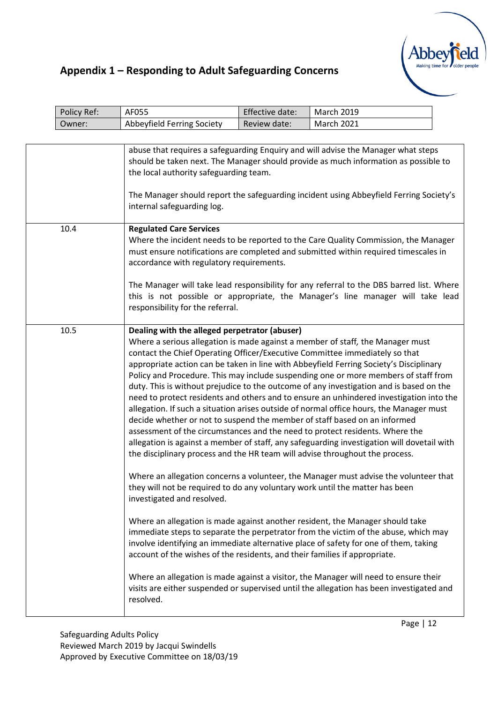

| Policy Ref: | AF055                                                                                                                                                                                                                                                                                                                                                                                                               | Effective date: | <b>March 2019</b>                                                                                                                                                                                                                                                                                                                                                                                                                                                                                                                                                                                                                                                                                                                                                                                                                                                                                                                                                                                                                                                                                                                                                                                                                                                                                                                                         |  |
|-------------|---------------------------------------------------------------------------------------------------------------------------------------------------------------------------------------------------------------------------------------------------------------------------------------------------------------------------------------------------------------------------------------------------------------------|-----------------|-----------------------------------------------------------------------------------------------------------------------------------------------------------------------------------------------------------------------------------------------------------------------------------------------------------------------------------------------------------------------------------------------------------------------------------------------------------------------------------------------------------------------------------------------------------------------------------------------------------------------------------------------------------------------------------------------------------------------------------------------------------------------------------------------------------------------------------------------------------------------------------------------------------------------------------------------------------------------------------------------------------------------------------------------------------------------------------------------------------------------------------------------------------------------------------------------------------------------------------------------------------------------------------------------------------------------------------------------------------|--|
| Owner:      | Abbeyfield Ferring Society                                                                                                                                                                                                                                                                                                                                                                                          | Review date:    | <b>March 2021</b>                                                                                                                                                                                                                                                                                                                                                                                                                                                                                                                                                                                                                                                                                                                                                                                                                                                                                                                                                                                                                                                                                                                                                                                                                                                                                                                                         |  |
|             |                                                                                                                                                                                                                                                                                                                                                                                                                     |                 |                                                                                                                                                                                                                                                                                                                                                                                                                                                                                                                                                                                                                                                                                                                                                                                                                                                                                                                                                                                                                                                                                                                                                                                                                                                                                                                                                           |  |
|             | the local authority safeguarding team.<br>internal safeguarding log.                                                                                                                                                                                                                                                                                                                                                |                 | abuse that requires a safeguarding Enquiry and will advise the Manager what steps<br>should be taken next. The Manager should provide as much information as possible to<br>The Manager should report the safeguarding incident using Abbeyfield Ferring Society's                                                                                                                                                                                                                                                                                                                                                                                                                                                                                                                                                                                                                                                                                                                                                                                                                                                                                                                                                                                                                                                                                        |  |
| 10.4        | <b>Regulated Care Services</b><br>accordance with regulatory requirements.<br>responsibility for the referral.                                                                                                                                                                                                                                                                                                      |                 | Where the incident needs to be reported to the Care Quality Commission, the Manager<br>must ensure notifications are completed and submitted within required timescales in<br>The Manager will take lead responsibility for any referral to the DBS barred list. Where<br>this is not possible or appropriate, the Manager's line manager will take lead                                                                                                                                                                                                                                                                                                                                                                                                                                                                                                                                                                                                                                                                                                                                                                                                                                                                                                                                                                                                  |  |
| 10.5        | Dealing with the alleged perpetrator (abuser)<br>decide whether or not to suspend the member of staff based on an informed<br>the disciplinary process and the HR team will advise throughout the process.<br>they will not be required to do any voluntary work until the matter has been<br>investigated and resolved.<br>account of the wishes of the residents, and their families if appropriate.<br>resolved. |                 | Where a serious allegation is made against a member of staff, the Manager must<br>contact the Chief Operating Officer/Executive Committee immediately so that<br>appropriate action can be taken in line with Abbeyfield Ferring Society's Disciplinary<br>Policy and Procedure. This may include suspending one or more members of staff from<br>duty. This is without prejudice to the outcome of any investigation and is based on the<br>need to protect residents and others and to ensure an unhindered investigation into the<br>allegation. If such a situation arises outside of normal office hours, the Manager must<br>assessment of the circumstances and the need to protect residents. Where the<br>allegation is against a member of staff, any safeguarding investigation will dovetail with<br>Where an allegation concerns a volunteer, the Manager must advise the volunteer that<br>Where an allegation is made against another resident, the Manager should take<br>immediate steps to separate the perpetrator from the victim of the abuse, which may<br>involve identifying an immediate alternative place of safety for one of them, taking<br>Where an allegation is made against a visitor, the Manager will need to ensure their<br>visits are either suspended or supervised until the allegation has been investigated and |  |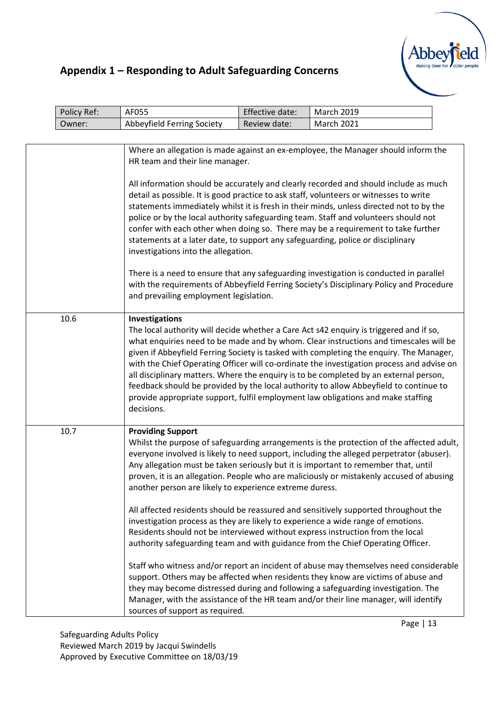

| Policy Ref: | AF055                                                                               | Effective date: | <b>March 2019</b>                                                                                                                                                                                                                                                                                                                                                                                                                                                                                                                                                                                                                             |
|-------------|-------------------------------------------------------------------------------------|-----------------|-----------------------------------------------------------------------------------------------------------------------------------------------------------------------------------------------------------------------------------------------------------------------------------------------------------------------------------------------------------------------------------------------------------------------------------------------------------------------------------------------------------------------------------------------------------------------------------------------------------------------------------------------|
| Owner:      | Abbeyfield Ferring Society                                                          | Review date:    | <b>March 2021</b>                                                                                                                                                                                                                                                                                                                                                                                                                                                                                                                                                                                                                             |
|             |                                                                                     |                 |                                                                                                                                                                                                                                                                                                                                                                                                                                                                                                                                                                                                                                               |
|             | HR team and their line manager.                                                     |                 | Where an allegation is made against an ex-employee, the Manager should inform the                                                                                                                                                                                                                                                                                                                                                                                                                                                                                                                                                             |
|             | investigations into the allegation.                                                 |                 | All information should be accurately and clearly recorded and should include as much<br>detail as possible. It is good practice to ask staff, volunteers or witnesses to write<br>statements immediately whilst it is fresh in their minds, unless directed not to by the<br>police or by the local authority safeguarding team. Staff and volunteers should not<br>confer with each other when doing so. There may be a requirement to take further<br>statements at a later date, to support any safeguarding, police or disciplinary                                                                                                       |
|             | and prevailing employment legislation.                                              |                 | There is a need to ensure that any safeguarding investigation is conducted in parallel<br>with the requirements of Abbeyfield Ferring Society's Disciplinary Policy and Procedure                                                                                                                                                                                                                                                                                                                                                                                                                                                             |
| 10.6        | Investigations<br>decisions.                                                        |                 | The local authority will decide whether a Care Act s42 enquiry is triggered and if so,<br>what enquiries need to be made and by whom. Clear instructions and timescales will be<br>given if Abbeyfield Ferring Society is tasked with completing the enquiry. The Manager,<br>with the Chief Operating Officer will co-ordinate the investigation process and advise on<br>all disciplinary matters. Where the enquiry is to be completed by an external person,<br>feedback should be provided by the local authority to allow Abbeyfield to continue to<br>provide appropriate support, fulfil employment law obligations and make staffing |
| 10.7        | <b>Providing Support</b><br>another person are likely to experience extreme duress. |                 | Whilst the purpose of safeguarding arrangements is the protection of the affected adult,<br>everyone involved is likely to need support, including the alleged perpetrator (abuser).<br>Any allegation must be taken seriously but it is important to remember that, until<br>proven, it is an allegation. People who are maliciously or mistakenly accused of abusing                                                                                                                                                                                                                                                                        |
|             |                                                                                     |                 | All affected residents should be reassured and sensitively supported throughout the<br>investigation process as they are likely to experience a wide range of emotions.<br>Residents should not be interviewed without express instruction from the local<br>authority safeguarding team and with guidance from the Chief Operating Officer.                                                                                                                                                                                                                                                                                                  |
|             | sources of support as required.                                                     |                 | Staff who witness and/or report an incident of abuse may themselves need considerable<br>support. Others may be affected when residents they know are victims of abuse and<br>they may become distressed during and following a safeguarding investigation. The<br>Manager, with the assistance of the HR team and/or their line manager, will identify                                                                                                                                                                                                                                                                                       |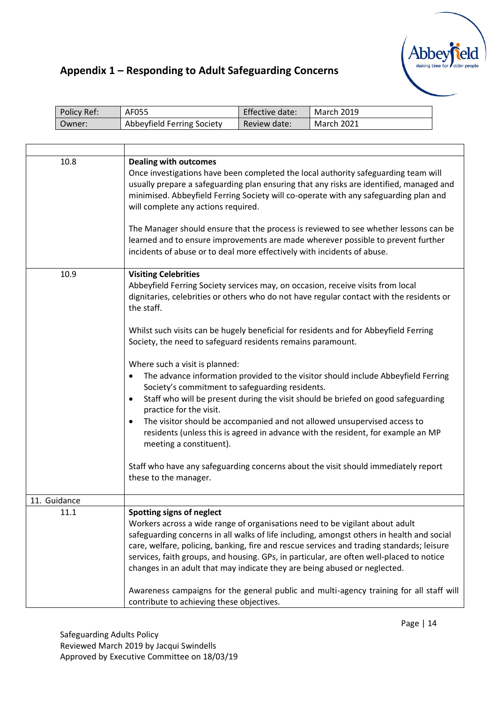

| Policy Ref: | AF055                      | Effective date: | March 2019 |
|-------------|----------------------------|-----------------|------------|
| :Dwner      | Abbeyfield Ferring Society | Review date:    | March 2021 |

| 10.8         | <b>Dealing with outcomes</b><br>Once investigations have been completed the local authority safeguarding team will<br>usually prepare a safeguarding plan ensuring that any risks are identified, managed and<br>minimised. Abbeyfield Ferring Society will co-operate with any safeguarding plan and<br>will complete any actions required.<br>The Manager should ensure that the process is reviewed to see whether lessons can be<br>learned and to ensure improvements are made wherever possible to prevent further<br>incidents of abuse or to deal more effectively with incidents of abuse.                                                                                                                                                                                                                                                                                                                                                                                                                |
|--------------|--------------------------------------------------------------------------------------------------------------------------------------------------------------------------------------------------------------------------------------------------------------------------------------------------------------------------------------------------------------------------------------------------------------------------------------------------------------------------------------------------------------------------------------------------------------------------------------------------------------------------------------------------------------------------------------------------------------------------------------------------------------------------------------------------------------------------------------------------------------------------------------------------------------------------------------------------------------------------------------------------------------------|
| 10.9         | <b>Visiting Celebrities</b><br>Abbeyfield Ferring Society services may, on occasion, receive visits from local<br>dignitaries, celebrities or others who do not have regular contact with the residents or<br>the staff.<br>Whilst such visits can be hugely beneficial for residents and for Abbeyfield Ferring<br>Society, the need to safeguard residents remains paramount.<br>Where such a visit is planned:<br>The advance information provided to the visitor should include Abbeyfield Ferring<br>٠<br>Society's commitment to safeguarding residents.<br>Staff who will be present during the visit should be briefed on good safeguarding<br>$\bullet$<br>practice for the visit.<br>The visitor should be accompanied and not allowed unsupervised access to<br>$\bullet$<br>residents (unless this is agreed in advance with the resident, for example an MP<br>meeting a constituent).<br>Staff who have any safeguarding concerns about the visit should immediately report<br>these to the manager. |
| 11. Guidance |                                                                                                                                                                                                                                                                                                                                                                                                                                                                                                                                                                                                                                                                                                                                                                                                                                                                                                                                                                                                                    |
| 11.1         | Spotting signs of neglect<br>Workers across a wide range of organisations need to be vigilant about adult<br>safeguarding concerns in all walks of life including, amongst others in health and social<br>care, welfare, policing, banking, fire and rescue services and trading standards; leisure<br>services, faith groups, and housing. GPs, in particular, are often well-placed to notice<br>changes in an adult that may indicate they are being abused or neglected.<br>Awareness campaigns for the general public and multi-agency training for all staff will<br>contribute to achieving these objectives.                                                                                                                                                                                                                                                                                                                                                                                               |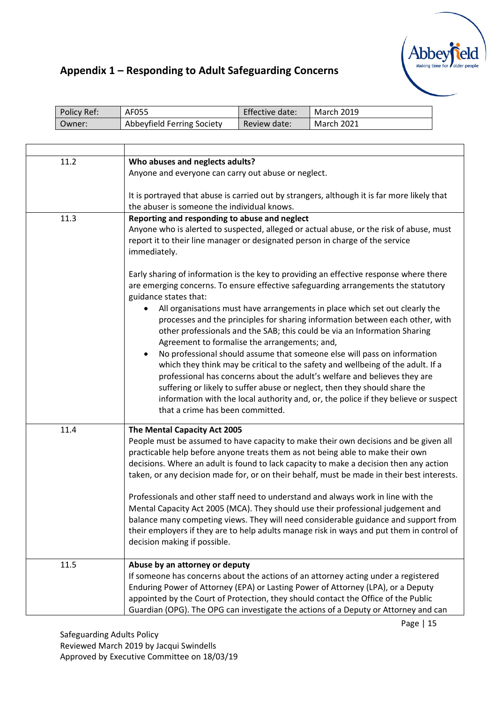

| Policy Ref: | AF055                      | Effective date: | <b>March 2019</b> |
|-------------|----------------------------|-----------------|-------------------|
| Owner:      | Abbeyfield Ferring Society | Review date:    | March 2021        |

| 11.2 | Who abuses and neglects adults?                                                                                                                                                                                                                                                                                                                                                                                                                                                                                                                                                                                                                                                                             |
|------|-------------------------------------------------------------------------------------------------------------------------------------------------------------------------------------------------------------------------------------------------------------------------------------------------------------------------------------------------------------------------------------------------------------------------------------------------------------------------------------------------------------------------------------------------------------------------------------------------------------------------------------------------------------------------------------------------------------|
|      | Anyone and everyone can carry out abuse or neglect.                                                                                                                                                                                                                                                                                                                                                                                                                                                                                                                                                                                                                                                         |
|      |                                                                                                                                                                                                                                                                                                                                                                                                                                                                                                                                                                                                                                                                                                             |
|      | It is portrayed that abuse is carried out by strangers, although it is far more likely that                                                                                                                                                                                                                                                                                                                                                                                                                                                                                                                                                                                                                 |
|      | the abuser is someone the individual knows.                                                                                                                                                                                                                                                                                                                                                                                                                                                                                                                                                                                                                                                                 |
| 11.3 | Reporting and responding to abuse and neglect<br>Anyone who is alerted to suspected, alleged or actual abuse, or the risk of abuse, must<br>report it to their line manager or designated person in charge of the service<br>immediately.                                                                                                                                                                                                                                                                                                                                                                                                                                                                   |
|      | Early sharing of information is the key to providing an effective response where there<br>are emerging concerns. To ensure effective safeguarding arrangements the statutory<br>guidance states that:                                                                                                                                                                                                                                                                                                                                                                                                                                                                                                       |
|      | All organisations must have arrangements in place which set out clearly the<br>processes and the principles for sharing information between each other, with<br>other professionals and the SAB; this could be via an Information Sharing<br>Agreement to formalise the arrangements; and,<br>No professional should assume that someone else will pass on information<br>which they think may be critical to the safety and wellbeing of the adult. If a<br>professional has concerns about the adult's welfare and believes they are<br>suffering or likely to suffer abuse or neglect, then they should share the<br>information with the local authority and, or, the police if they believe or suspect |
|      | that a crime has been committed.                                                                                                                                                                                                                                                                                                                                                                                                                                                                                                                                                                                                                                                                            |
| 11.4 | The Mental Capacity Act 2005<br>People must be assumed to have capacity to make their own decisions and be given all<br>practicable help before anyone treats them as not being able to make their own<br>decisions. Where an adult is found to lack capacity to make a decision then any action<br>taken, or any decision made for, or on their behalf, must be made in their best interests.                                                                                                                                                                                                                                                                                                              |
|      | Professionals and other staff need to understand and always work in line with the<br>Mental Capacity Act 2005 (MCA). They should use their professional judgement and<br>balance many competing views. They will need considerable guidance and support from<br>their employers if they are to help adults manage risk in ways and put them in control of<br>decision making if possible.                                                                                                                                                                                                                                                                                                                   |
| 11.5 | Abuse by an attorney or deputy<br>If someone has concerns about the actions of an attorney acting under a registered<br>Enduring Power of Attorney (EPA) or Lasting Power of Attorney (LPA), or a Deputy<br>appointed by the Court of Protection, they should contact the Office of the Public<br>Guardian (OPG). The OPG can investigate the actions of a Deputy or Attorney and can                                                                                                                                                                                                                                                                                                                       |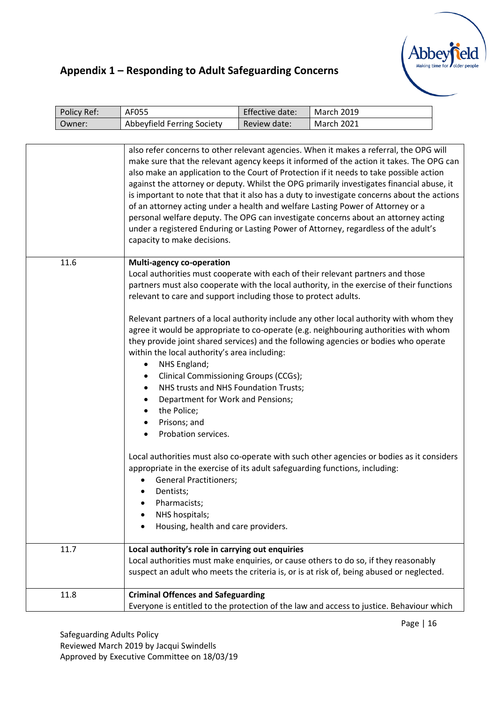

| Policy Ref: | AF055                                                                                                                                                                                                                                                                                                                                                                                                                                                                                                                                                                                                                       | Effective date: | <b>March 2019</b>                                                                                                                                                                                                                                                                                                                                                                                                                                                                                                                                            |  |
|-------------|-----------------------------------------------------------------------------------------------------------------------------------------------------------------------------------------------------------------------------------------------------------------------------------------------------------------------------------------------------------------------------------------------------------------------------------------------------------------------------------------------------------------------------------------------------------------------------------------------------------------------------|-----------------|--------------------------------------------------------------------------------------------------------------------------------------------------------------------------------------------------------------------------------------------------------------------------------------------------------------------------------------------------------------------------------------------------------------------------------------------------------------------------------------------------------------------------------------------------------------|--|
| Owner:      | Abbeyfield Ferring Society                                                                                                                                                                                                                                                                                                                                                                                                                                                                                                                                                                                                  | Review date:    | <b>March 2021</b>                                                                                                                                                                                                                                                                                                                                                                                                                                                                                                                                            |  |
|             |                                                                                                                                                                                                                                                                                                                                                                                                                                                                                                                                                                                                                             |                 | also refer concerns to other relevant agencies. When it makes a referral, the OPG will<br>make sure that the relevant agency keeps it informed of the action it takes. The OPG can<br>also make an application to the Court of Protection if it needs to take possible action<br>against the attorney or deputy. Whilst the OPG primarily investigates financial abuse, it<br>is important to note that that it also has a duty to investigate concerns about the actions<br>of an attorney acting under a health and welfare Lasting Power of Attorney or a |  |
|             | capacity to make decisions.                                                                                                                                                                                                                                                                                                                                                                                                                                                                                                                                                                                                 |                 | personal welfare deputy. The OPG can investigate concerns about an attorney acting<br>under a registered Enduring or Lasting Power of Attorney, regardless of the adult's                                                                                                                                                                                                                                                                                                                                                                                    |  |
| 11.6        | <b>Multi-agency co-operation</b><br>relevant to care and support including those to protect adults.<br>within the local authority's area including:<br>NHS England;<br>$\bullet$<br><b>Clinical Commissioning Groups (CCGs);</b><br>٠<br>NHS trusts and NHS Foundation Trusts;<br>$\bullet$<br>Department for Work and Pensions;<br>٠<br>the Police;<br>$\bullet$<br>Prisons; and<br>$\bullet$<br>Probation services.<br>appropriate in the exercise of its adult safeguarding functions, including:<br><b>General Practitioners;</b><br>Dentists;<br>Pharmacists;<br>NHS hospitals;<br>Housing, health and care providers. |                 | Local authorities must cooperate with each of their relevant partners and those<br>partners must also cooperate with the local authority, in the exercise of their functions<br>Relevant partners of a local authority include any other local authority with whom they<br>agree it would be appropriate to co-operate (e.g. neighbouring authorities with whom<br>they provide joint shared services) and the following agencies or bodies who operate<br>Local authorities must also co-operate with such other agencies or bodies as it considers         |  |
| 11.7        | Local authority's role in carrying out enquiries                                                                                                                                                                                                                                                                                                                                                                                                                                                                                                                                                                            |                 | Local authorities must make enquiries, or cause others to do so, if they reasonably<br>suspect an adult who meets the criteria is, or is at risk of, being abused or neglected.                                                                                                                                                                                                                                                                                                                                                                              |  |
| 11.8        | <b>Criminal Offences and Safeguarding</b>                                                                                                                                                                                                                                                                                                                                                                                                                                                                                                                                                                                   |                 | Everyone is entitled to the protection of the law and access to justice. Behaviour which                                                                                                                                                                                                                                                                                                                                                                                                                                                                     |  |

Safeguarding Adults Policy Reviewed March 2019 by Jacqui Swindells Approved by Executive Committee on 18/03/19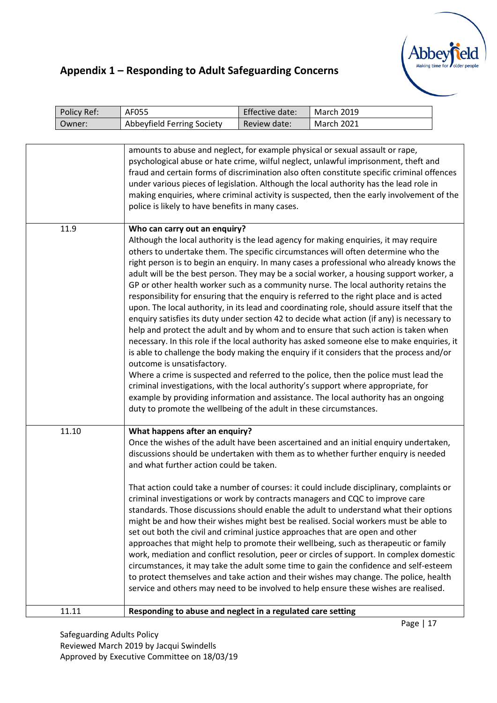

| Policy Ref: | AF055                                                                                                                                                       | Effective date: | <b>March 2019</b>                                                                                                                                                                                                                                                                                                                                                                                                                                                                                                                                                                                                                                                                                                                                                                                                                                                                                                                                                                                                                                                                                                                                                                                                                                                                                       |  |
|-------------|-------------------------------------------------------------------------------------------------------------------------------------------------------------|-----------------|---------------------------------------------------------------------------------------------------------------------------------------------------------------------------------------------------------------------------------------------------------------------------------------------------------------------------------------------------------------------------------------------------------------------------------------------------------------------------------------------------------------------------------------------------------------------------------------------------------------------------------------------------------------------------------------------------------------------------------------------------------------------------------------------------------------------------------------------------------------------------------------------------------------------------------------------------------------------------------------------------------------------------------------------------------------------------------------------------------------------------------------------------------------------------------------------------------------------------------------------------------------------------------------------------------|--|
| Owner:      | Abbeyfield Ferring Society                                                                                                                                  | Review date:    | <b>March 2021</b>                                                                                                                                                                                                                                                                                                                                                                                                                                                                                                                                                                                                                                                                                                                                                                                                                                                                                                                                                                                                                                                                                                                                                                                                                                                                                       |  |
|             |                                                                                                                                                             |                 |                                                                                                                                                                                                                                                                                                                                                                                                                                                                                                                                                                                                                                                                                                                                                                                                                                                                                                                                                                                                                                                                                                                                                                                                                                                                                                         |  |
|             | amounts to abuse and neglect, for example physical or sexual assault or rape,<br>police is likely to have benefits in many cases.                           |                 | psychological abuse or hate crime, wilful neglect, unlawful imprisonment, theft and<br>fraud and certain forms of discrimination also often constitute specific criminal offences<br>under various pieces of legislation. Although the local authority has the lead role in<br>making enquiries, where criminal activity is suspected, then the early involvement of the                                                                                                                                                                                                                                                                                                                                                                                                                                                                                                                                                                                                                                                                                                                                                                                                                                                                                                                                |  |
| 11.9        | Who can carry out an enquiry?<br>outcome is unsatisfactory.<br>duty to promote the wellbeing of the adult in these circumstances.                           |                 | Although the local authority is the lead agency for making enquiries, it may require<br>others to undertake them. The specific circumstances will often determine who the<br>right person is to begin an enquiry. In many cases a professional who already knows the<br>adult will be the best person. They may be a social worker, a housing support worker, a<br>GP or other health worker such as a community nurse. The local authority retains the<br>responsibility for ensuring that the enquiry is referred to the right place and is acted<br>upon. The local authority, in its lead and coordinating role, should assure itself that the<br>enquiry satisfies its duty under section 42 to decide what action (if any) is necessary to<br>help and protect the adult and by whom and to ensure that such action is taken when<br>necessary. In this role if the local authority has asked someone else to make enquiries, it<br>is able to challenge the body making the enquiry if it considers that the process and/or<br>Where a crime is suspected and referred to the police, then the police must lead the<br>criminal investigations, with the local authority's support where appropriate, for<br>example by providing information and assistance. The local authority has an ongoing |  |
| 11.10       | What happens after an enquiry?<br>and what further action could be taken.<br>set out both the civil and criminal justice approaches that are open and other |                 | Once the wishes of the adult have been ascertained and an initial enquiry undertaken,<br>discussions should be undertaken with them as to whether further enquiry is needed<br>That action could take a number of courses: it could include disciplinary, complaints or<br>criminal investigations or work by contracts managers and CQC to improve care<br>standards. Those discussions should enable the adult to understand what their options<br>might be and how their wishes might best be realised. Social workers must be able to<br>approaches that might help to promote their wellbeing, such as therapeutic or family<br>work, mediation and conflict resolution, peer or circles of support. In complex domestic<br>circumstances, it may take the adult some time to gain the confidence and self-esteem<br>to protect themselves and take action and their wishes may change. The police, health<br>service and others may need to be involved to help ensure these wishes are realised.                                                                                                                                                                                                                                                                                                 |  |
| 11.11       | Responding to abuse and neglect in a regulated care setting                                                                                                 |                 |                                                                                                                                                                                                                                                                                                                                                                                                                                                                                                                                                                                                                                                                                                                                                                                                                                                                                                                                                                                                                                                                                                                                                                                                                                                                                                         |  |

Safeguarding Adults Policy Reviewed March 2019 by Jacqui Swindells Approved by Executive Committee on 18/03/19 Page | 17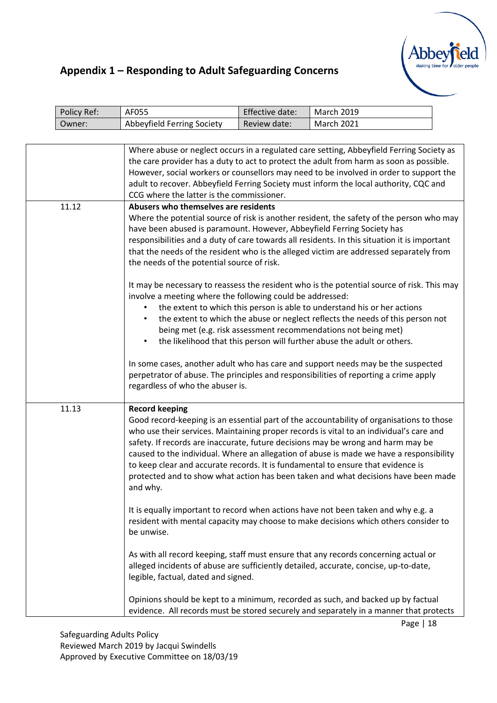

| Policy Ref: | AF055                                                                                                                | Effective date: | <b>March 2019</b>                                                                                                                                                                                                                                                                                                                                                                                                                                                                                                                                                                 |  |
|-------------|----------------------------------------------------------------------------------------------------------------------|-----------------|-----------------------------------------------------------------------------------------------------------------------------------------------------------------------------------------------------------------------------------------------------------------------------------------------------------------------------------------------------------------------------------------------------------------------------------------------------------------------------------------------------------------------------------------------------------------------------------|--|
| Owner:      | Abbeyfield Ferring Society                                                                                           | Review date:    | <b>March 2021</b>                                                                                                                                                                                                                                                                                                                                                                                                                                                                                                                                                                 |  |
|             |                                                                                                                      |                 |                                                                                                                                                                                                                                                                                                                                                                                                                                                                                                                                                                                   |  |
|             | CCG where the latter is the commissioner.                                                                            |                 | Where abuse or neglect occurs in a regulated care setting, Abbeyfield Ferring Society as<br>the care provider has a duty to act to protect the adult from harm as soon as possible.<br>However, social workers or counsellors may need to be involved in order to support the<br>adult to recover. Abbeyfield Ferring Society must inform the local authority, CQC and                                                                                                                                                                                                            |  |
| 11.12       | Abusers who themselves are residents                                                                                 |                 |                                                                                                                                                                                                                                                                                                                                                                                                                                                                                                                                                                                   |  |
|             | have been abused is paramount. However, Abbeyfield Ferring Society has<br>the needs of the potential source of risk. |                 | Where the potential source of risk is another resident, the safety of the person who may<br>responsibilities and a duty of care towards all residents. In this situation it is important<br>that the needs of the resident who is the alleged victim are addressed separately from                                                                                                                                                                                                                                                                                                |  |
|             | involve a meeting where the following could be addressed:<br>$\bullet$                                               |                 | It may be necessary to reassess the resident who is the potential source of risk. This may<br>the extent to which this person is able to understand his or her actions<br>the extent to which the abuse or neglect reflects the needs of this person not<br>being met (e.g. risk assessment recommendations not being met)<br>the likelihood that this person will further abuse the adult or others.<br>In some cases, another adult who has care and support needs may be the suspected<br>perpetrator of abuse. The principles and responsibilities of reporting a crime apply |  |
|             | regardless of who the abuser is.                                                                                     |                 |                                                                                                                                                                                                                                                                                                                                                                                                                                                                                                                                                                                   |  |
| 11.13       | <b>Record keeping</b><br>and why.                                                                                    |                 | Good record-keeping is an essential part of the accountability of organisations to those<br>who use their services. Maintaining proper records is vital to an individual's care and<br>safety. If records are inaccurate, future decisions may be wrong and harm may be<br>caused to the individual. Where an allegation of abuse is made we have a responsibility<br>to keep clear and accurate records. It is fundamental to ensure that evidence is<br>protected and to show what action has been taken and what decisions have been made                                      |  |
|             | be unwise.                                                                                                           |                 | It is equally important to record when actions have not been taken and why e.g. a<br>resident with mental capacity may choose to make decisions which others consider to                                                                                                                                                                                                                                                                                                                                                                                                          |  |
|             | legible, factual, dated and signed.                                                                                  |                 | As with all record keeping, staff must ensure that any records concerning actual or<br>alleged incidents of abuse are sufficiently detailed, accurate, concise, up-to-date,                                                                                                                                                                                                                                                                                                                                                                                                       |  |
|             |                                                                                                                      |                 | Opinions should be kept to a minimum, recorded as such, and backed up by factual<br>evidence. All records must be stored securely and separately in a manner that protects                                                                                                                                                                                                                                                                                                                                                                                                        |  |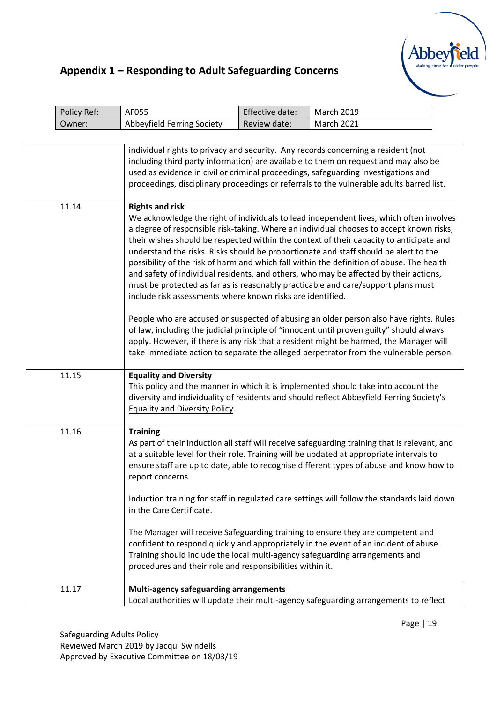

| Policy Ref: | AF055                                                                                                                                     | Effective date: | <b>March 2019</b>                                                                                                                                                                                                                                                                                                                                                                                                                                                                                                                                                                                                                                |  |
|-------------|-------------------------------------------------------------------------------------------------------------------------------------------|-----------------|--------------------------------------------------------------------------------------------------------------------------------------------------------------------------------------------------------------------------------------------------------------------------------------------------------------------------------------------------------------------------------------------------------------------------------------------------------------------------------------------------------------------------------------------------------------------------------------------------------------------------------------------------|--|
| Owner:      | Abbeyfield Ferring Society                                                                                                                | Review date:    | <b>March 2021</b>                                                                                                                                                                                                                                                                                                                                                                                                                                                                                                                                                                                                                                |  |
|             |                                                                                                                                           |                 |                                                                                                                                                                                                                                                                                                                                                                                                                                                                                                                                                                                                                                                  |  |
|             |                                                                                                                                           |                 | individual rights to privacy and security. Any records concerning a resident (not<br>including third party information) are available to them on request and may also be<br>used as evidence in civil or criminal proceedings, safeguarding investigations and<br>proceedings, disciplinary proceedings or referrals to the vulnerable adults barred list.                                                                                                                                                                                                                                                                                       |  |
| 11.14       | <b>Rights and risk</b><br>include risk assessments where known risks are identified.                                                      |                 | We acknowledge the right of individuals to lead independent lives, which often involves<br>a degree of responsible risk-taking. Where an individual chooses to accept known risks,<br>their wishes should be respected within the context of their capacity to anticipate and<br>understand the risks. Risks should be proportionate and staff should be alert to the<br>possibility of the risk of harm and which fall within the definition of abuse. The health<br>and safety of individual residents, and others, who may be affected by their actions,<br>must be protected as far as is reasonably practicable and care/support plans must |  |
|             |                                                                                                                                           |                 | People who are accused or suspected of abusing an older person also have rights. Rules<br>of law, including the judicial principle of "innocent until proven guilty" should always<br>apply. However, if there is any risk that a resident might be harmed, the Manager will<br>take immediate action to separate the alleged perpetrator from the vulnerable person.                                                                                                                                                                                                                                                                            |  |
| 11.15       | <b>Equality and Diversity</b><br><b>Equality and Diversity Policy.</b>                                                                    |                 | This policy and the manner in which it is implemented should take into account the<br>diversity and individuality of residents and should reflect Abbeyfield Ferring Society's                                                                                                                                                                                                                                                                                                                                                                                                                                                                   |  |
| 11.16       | <b>Training</b><br>report concerns.                                                                                                       |                 | As part of their induction all staff will receive safeguarding training that is relevant, and<br>at a suitable level for their role. Training will be updated at appropriate intervals to<br>ensure staff are up to date, able to recognise different types of abuse and know how to                                                                                                                                                                                                                                                                                                                                                             |  |
|             | in the Care Certificate.                                                                                                                  |                 | Induction training for staff in regulated care settings will follow the standards laid down                                                                                                                                                                                                                                                                                                                                                                                                                                                                                                                                                      |  |
|             | Training should include the local multi-agency safeguarding arrangements and<br>procedures and their role and responsibilities within it. |                 | The Manager will receive Safeguarding training to ensure they are competent and<br>confident to respond quickly and appropriately in the event of an incident of abuse.                                                                                                                                                                                                                                                                                                                                                                                                                                                                          |  |
| 11.17       | Multi-agency safeguarding arrangements                                                                                                    |                 | Local authorities will update their multi-agency safeguarding arrangements to reflect                                                                                                                                                                                                                                                                                                                                                                                                                                                                                                                                                            |  |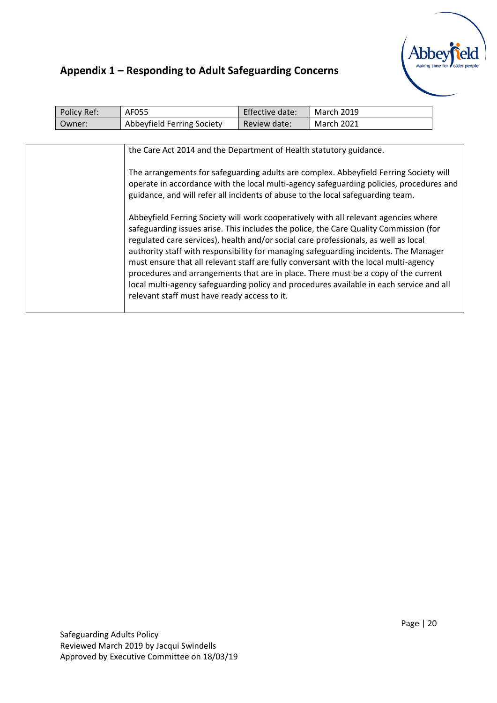

| Policy Ref: | AF055                                                                           | Effective date: | <b>March 2019</b>                                                                                                                                                                                                                                                                                                                                                                                                                                                                                                                             |  |
|-------------|---------------------------------------------------------------------------------|-----------------|-----------------------------------------------------------------------------------------------------------------------------------------------------------------------------------------------------------------------------------------------------------------------------------------------------------------------------------------------------------------------------------------------------------------------------------------------------------------------------------------------------------------------------------------------|--|
| Owner:      | Abbeyfield Ferring Society                                                      | Review date:    | <b>March 2021</b>                                                                                                                                                                                                                                                                                                                                                                                                                                                                                                                             |  |
|             |                                                                                 |                 |                                                                                                                                                                                                                                                                                                                                                                                                                                                                                                                                               |  |
|             | the Care Act 2014 and the Department of Health statutory guidance.              |                 |                                                                                                                                                                                                                                                                                                                                                                                                                                                                                                                                               |  |
|             | guidance, and will refer all incidents of abuse to the local safeguarding team. |                 | The arrangements for safeguarding adults are complex. Abbeyfield Ferring Society will<br>operate in accordance with the local multi-agency safeguarding policies, procedures and<br>Abbeyfield Ferring Society will work cooperatively with all relevant agencies where                                                                                                                                                                                                                                                                       |  |
|             | relevant staff must have ready access to it.                                    |                 | safeguarding issues arise. This includes the police, the Care Quality Commission (for<br>regulated care services), health and/or social care professionals, as well as local<br>authority staff with responsibility for managing safeguarding incidents. The Manager<br>must ensure that all relevant staff are fully conversant with the local multi-agency<br>procedures and arrangements that are in place. There must be a copy of the current<br>local multi-agency safeguarding policy and procedures available in each service and all |  |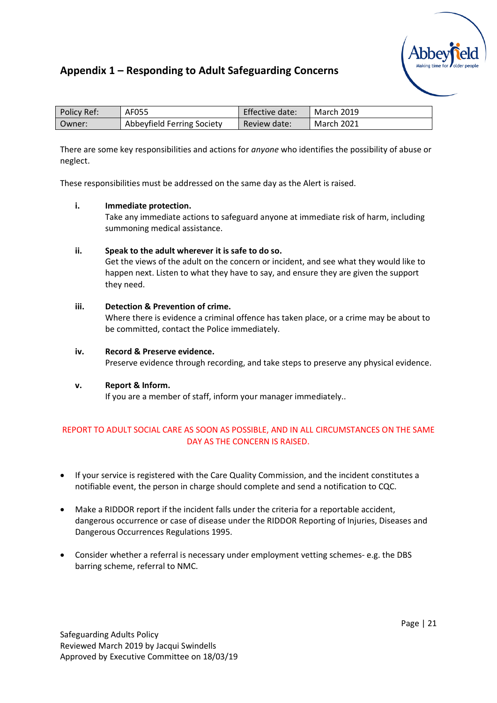

| Policy Ref: | AF055                      | Effective date: | <b>March 2019</b> |
|-------------|----------------------------|-----------------|-------------------|
| Owner:      | Abbeyfield Ferring Society | Review date:    | <b>March 2021</b> |

There are some key responsibilities and actions for *anyone* who identifies the possibility of abuse or neglect.

These responsibilities must be addressed on the same day as the Alert is raised.

#### **i. Immediate protection.**

Take any immediate actions to safeguard anyone at immediate risk of harm, including summoning medical assistance.

#### **ii. Speak to the adult wherever it is safe to do so.**

Get the views of the adult on the concern or incident, and see what they would like to happen next. Listen to what they have to say, and ensure they are given the support they need.

#### **iii. Detection & Prevention of crime.**

Where there is evidence a criminal offence has taken place, or a crime may be about to be committed, contact the Police immediately.

#### **iv. Record & Preserve evidence.**  Preserve evidence through recording, and take steps to preserve any physical evidence.

#### **v. Report & Inform.**

If you are a member of staff, inform your manager immediately..

#### REPORT TO ADULT SOCIAL CARE AS SOON AS POSSIBLE, AND IN ALL CIRCUMSTANCES ON THE SAME DAY AS THE CONCERN IS RAISED.

- If your service is registered with the Care Quality Commission, and the incident constitutes a notifiable event, the person in charge should complete and send a notification to CQC.
- Make a RIDDOR report if the incident falls under the criteria for a reportable accident, dangerous occurrence or case of disease under the RIDDOR Reporting of Injuries, Diseases and Dangerous Occurrences Regulations 1995.
- Consider whether a referral is necessary under employment vetting schemes- e.g. the DBS barring scheme, referral to NMC.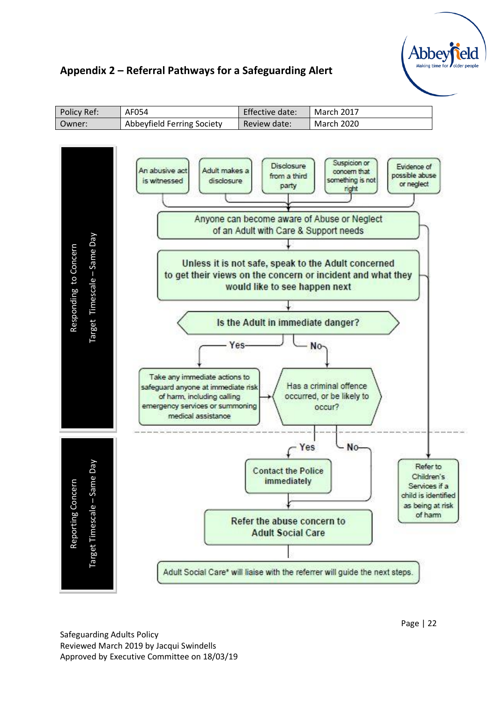

#### **Appendix 2 – Referral Pathways for a Safeguarding Alert**

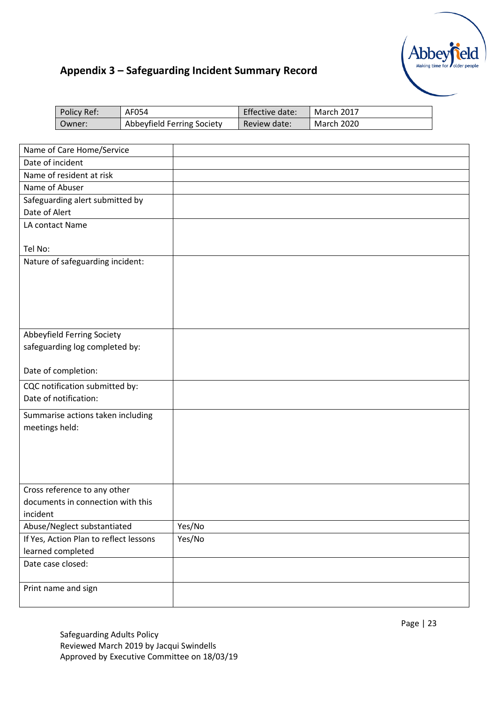# **Abbey**

# **Appendix 3 – Safeguarding Incident Summary Record**

| Policy Ref: | AF054                      | Effective date: | March 2017        |
|-------------|----------------------------|-----------------|-------------------|
| Owner:      | Abbeyfield Ferring Society | Review date:    | <b>March 2020</b> |

| Name of Care Home/Service              |        |
|----------------------------------------|--------|
| Date of incident                       |        |
| Name of resident at risk               |        |
| Name of Abuser                         |        |
| Safeguarding alert submitted by        |        |
| Date of Alert                          |        |
| LA contact Name                        |        |
|                                        |        |
| Tel No:                                |        |
| Nature of safeguarding incident:       |        |
|                                        |        |
|                                        |        |
|                                        |        |
|                                        |        |
|                                        |        |
| Abbeyfield Ferring Society             |        |
| safeguarding log completed by:         |        |
|                                        |        |
| Date of completion:                    |        |
| CQC notification submitted by:         |        |
| Date of notification:                  |        |
| Summarise actions taken including      |        |
| meetings held:                         |        |
|                                        |        |
|                                        |        |
|                                        |        |
|                                        |        |
| Cross reference to any other           |        |
| documents in connection with this      |        |
| incident                               |        |
| Abuse/Neglect substantiated            | Yes/No |
| If Yes, Action Plan to reflect lessons | Yes/No |
| learned completed                      |        |
| Date case closed:                      |        |
|                                        |        |
| Print name and sign                    |        |
|                                        |        |

Safeguarding Adults Policy Reviewed March 2019 by Jacqui Swindells Approved by Executive Committee on 18/03/19